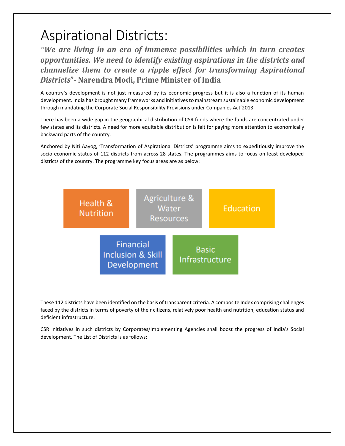## Aspirational Districts:

"We are living in an era of immense possibilities which in turn creates opportunities. We need to identify existing aspirations in the districts and channelize them to create a ripple effect for transforming Aspirational Districts" - Narendra Modi, Prime Minister of India

A country's development is not just measured by its economic progress but it is also a function of its human development. India has brought many frameworks and initiatives to mainstream sustainable economic development through mandating the Corporate Social Responsibility Provisions under Companies Act'2013.

There has been a wide gap in the geographical distribution of CSR funds where the funds are concentrated under few states and its districts. A need for more equitable distribution is felt for paying more attention to economically backward parts of the country.

Anchored by Niti Aayog, 'Transformation of Aspirational Districts' programme aims to expeditiously improve the socio-economic status of 112 districts from across 28 states. The programmes aims to focus on least developed districts of the country. The programme key focus areas are as below:



These 112 districts have been identified on the basis of transparent criteria. A composite Index comprising challenges faced by the districts in terms of poverty of their citizens, relatively poor health and nutrition, education status and deficient infrastructure.

CSR initiatives in such districts by Corporates/Implementing Agencies shall boost the progress of India's Social development. The List of Districts is as follows: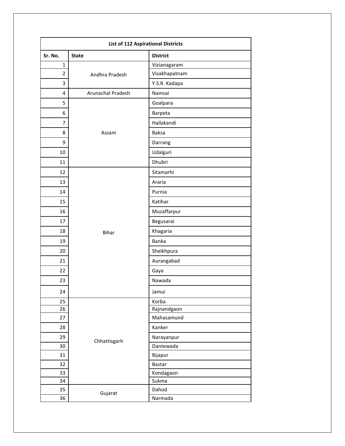| <b>List of 112 Aspirational Districts</b> |                   |                 |  |  |
|-------------------------------------------|-------------------|-----------------|--|--|
| Sr. No.                                   | <b>State</b>      | <b>District</b> |  |  |
| $\mathbf{1}$                              | Andhra Pradesh    | Vizianagaram    |  |  |
| $\overline{2}$                            |                   | Visakhapatnam   |  |  |
| 3                                         |                   | Y.S.R. Kadapa   |  |  |
| 4                                         | Arunachal Pradesh | Namsai          |  |  |
| 5                                         | Assam             | Goalpara        |  |  |
| 6                                         |                   | Barpeta         |  |  |
| $\overline{7}$                            |                   | Hailakandi      |  |  |
| 8                                         |                   | <b>Baksa</b>    |  |  |
| 9                                         |                   | Darrang         |  |  |
| 10                                        |                   | Udalguri        |  |  |
| 11                                        |                   | Dhubri          |  |  |
| 12                                        | <b>Bihar</b>      | Sitamarhi       |  |  |
| 13                                        |                   | Araria          |  |  |
| 14                                        |                   | Purnia          |  |  |
| 15                                        |                   | Katihar         |  |  |
| 16                                        |                   | Muzaffarpur     |  |  |
| 17                                        |                   | Begusarai       |  |  |
| 18                                        |                   | Khagaria        |  |  |
| 19                                        |                   | Banka           |  |  |
| 20                                        |                   | Sheikhpura      |  |  |
| 21                                        |                   | Aurangabad      |  |  |
| 22                                        |                   | Gaya            |  |  |
| 23                                        |                   | Nawada          |  |  |
| 24                                        |                   | Jamui           |  |  |
| 25                                        |                   | Korba           |  |  |
| 26                                        |                   | Rajnandgaon     |  |  |
| 27                                        |                   | Mahasamund      |  |  |
| 28                                        |                   | Kanker          |  |  |
| 29                                        | Chhattisgarh      | Narayanpur      |  |  |
| 30                                        |                   | Dantewada       |  |  |
| 31                                        |                   | Bijapur         |  |  |
| 32                                        |                   | Bastar          |  |  |
| 33                                        |                   | Kondagaon       |  |  |
| 34                                        |                   | Sukma           |  |  |
| 35                                        | Gujarat           | Dahod           |  |  |
| 36                                        |                   | Narmada         |  |  |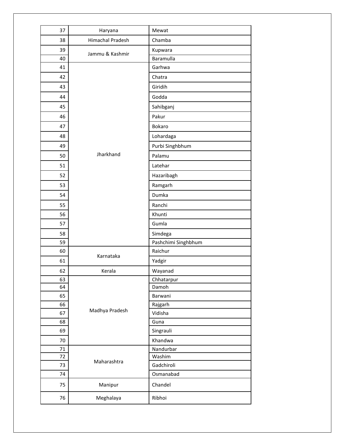| 37       | Haryana          | Mewat               |
|----------|------------------|---------------------|
| 38       | Himachal Pradesh | Chamba              |
| 39       | Jammu & Kashmir  | Kupwara             |
| 40       |                  | Baramulla           |
| 41       |                  | Garhwa              |
| 42       |                  | Chatra              |
| 43       |                  | Giridih             |
| 44       |                  | Godda               |
| 45       |                  | Sahibganj           |
| 46       |                  | Pakur               |
| 47       |                  | Bokaro              |
| 48       |                  | Lohardaga           |
| 49       |                  | Purbi Singhbhum     |
| 50       | Jharkhand        | Palamu              |
| 51       |                  | Latehar             |
| 52       |                  | Hazaribagh          |
| 53       |                  | Ramgarh             |
| 54       |                  | Dumka               |
| 55       |                  | Ranchi              |
| 56       |                  | Khunti              |
| 57       |                  | Gumla               |
| 58       |                  | Simdega             |
| 59       |                  | Pashchimi Singhbhum |
| 60       | Karnataka        | Raichur             |
| 61       |                  | Yadgir              |
| 62       | Kerala           | Wayanad             |
| 63       |                  | Chhatarpur          |
| 64       |                  | Damoh               |
| 65       |                  | Barwani             |
| 66<br>67 | Madhya Pradesh   | Rajgarh<br>Vidisha  |
| 68       |                  | Guna                |
| 69       |                  | Singrauli           |
| 70       |                  | Khandwa             |
| 71       |                  | Nandurbar           |
| 72       |                  | Washim              |
| 73       | Maharashtra      | Gadchiroli          |
| 74       |                  | Osmanabad           |
| 75       | Manipur          | Chandel             |
| 76       | Meghalaya        | Ribhoi              |